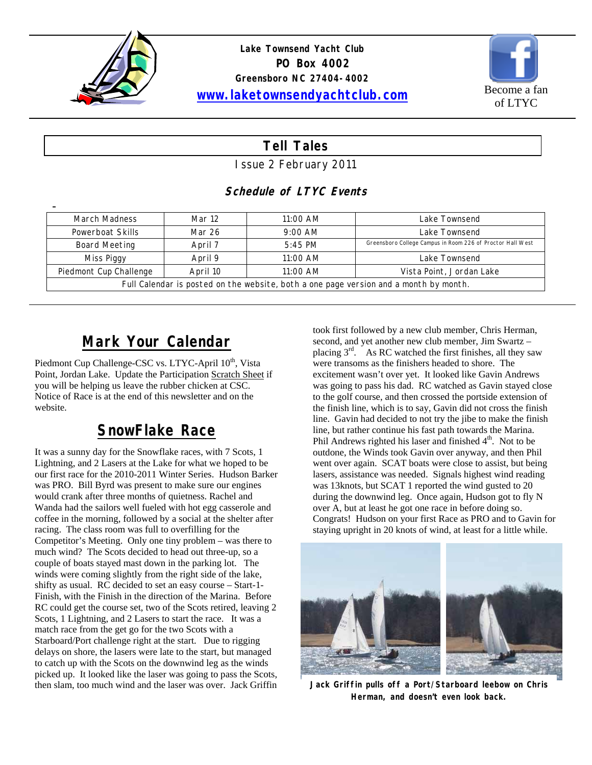



#### **Tell Tales**

Issue 2 February 2011

#### **Schedule of LTYC Events**

| <b>March Madness</b>                                                                  | Mar 12   | 11:00 AM  | Lake Townsend                                              |  |  |  |
|---------------------------------------------------------------------------------------|----------|-----------|------------------------------------------------------------|--|--|--|
| Powerboat Skills                                                                      | Mar 26   | $9:00$ AM | Lake Townsend                                              |  |  |  |
| Board Meeting                                                                         | April 7  | $5:45$ PM | Greensboro College Campus in Room 226 of Proctor Hall West |  |  |  |
| Miss Piggy                                                                            | April 9  | 11:00 AM  | Lake Townsend                                              |  |  |  |
| Piedmont Cup Challenge                                                                | April 10 | 11:00 AM  | Vista Point, Jordan Lake                                   |  |  |  |
| Full Calendar is posted on the website, both a one page version and a month by month. |          |           |                                                            |  |  |  |

#### **Mark Your Calendar**

Piedmont Cup Challenge-CSC vs. LTYC-April 10<sup>th</sup>, Vista Point, Jordan Lake. Update the Participation Scratch Sheet if you will be helping us leave the rubber chicken at CSC. Notice of Race is at the end of this newsletter and on the website.

# **SnowFlake Race**

It was a sunny day for the Snowflake races, with 7 Scots, 1 Lightning, and 2 Lasers at the Lake for what we hoped to be our first race for the 2010-2011 Winter Series. Hudson Barker was PRO. Bill Byrd was present to make sure our engines would crank after three months of quietness. Rachel and Wanda had the sailors well fueled with hot egg casserole and coffee in the morning, followed by a social at the shelter after racing. The class room was full to overfilling for the Competitor's Meeting. Only one tiny problem – was there to much wind? The Scots decided to head out three-up, so a couple of boats stayed mast down in the parking lot. The winds were coming slightly from the right side of the lake, shifty as usual. RC decided to set an easy course – Start-1- Finish, with the Finish in the direction of the Marina. Before RC could get the course set, two of the Scots retired, leaving 2 Scots, 1 Lightning, and 2 Lasers to start the race. It was a match race from the get go for the two Scots with a Starboard/Port challenge right at the start. Due to rigging delays on shore, the lasers were late to the start, but managed to catch up with the Scots on the downwind leg as the winds picked up. It looked like the laser was going to pass the Scots, then slam, too much wind and the laser was over. Jack Griffin

took first followed by a new club member, Chris Herman, second, and yet another new club member, Jim Swartz – placing  $3<sup>rd</sup>$ . As RC watched the first finishes, all they saw were transoms as the finishers headed to shore. The excitement wasn't over yet. It looked like Gavin Andrews was going to pass his dad. RC watched as Gavin stayed close to the golf course, and then crossed the portside extension of the finish line, which is to say, Gavin did not cross the finish line. Gavin had decided to not try the jibe to make the finish line, but rather continue his fast path towards the Marina. Phil Andrews righted his laser and finished  $4<sup>th</sup>$ . Not to be outdone, the Winds took Gavin over anyway, and then Phil went over again. SCAT boats were close to assist, but being lasers, assistance was needed. Signals highest wind reading was 13knots, but SCAT 1 reported the wind gusted to 20 during the downwind leg. Once again, Hudson got to fly N over A, but at least he got one race in before doing so. Congrats! Hudson on your first Race as PRO and to Gavin for staying upright in 20 knots of wind, at least for a little while.



**Jack Griffin pulls off a Port/Starboard leebow on Chris Herman, and doesn't even look back.**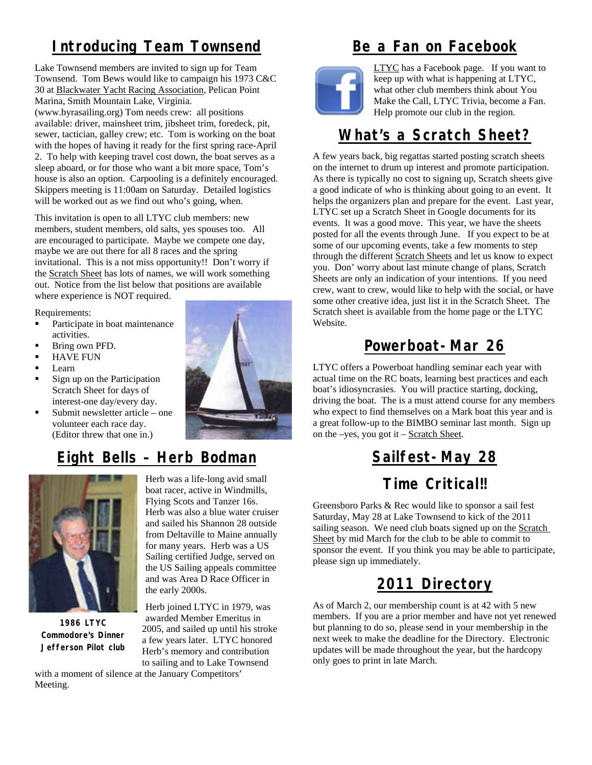# **Introducing Team Townsend**

Lake Townsend members are invited to sign up for Team Townsend. Tom Bews would like to campaign his 1973 C&C 30 at Blackwater Yacht Racing Association, Pelican Point Marina, Smith Mountain Lake, Virginia. (www.byrasailing.org) Tom needs crew: all positions available: driver, mainsheet trim, jibsheet trim, foredeck, pit, sewer, tactician, galley crew; etc. Tom is working on the boat with the hopes of having it ready for the first spring race-April 2. To help with keeping travel cost down, the boat serves as a sleep aboard, or for those who want a bit more space, Tom's house is also an option. Carpooling is a definitely encouraged. Skippers meeting is 11:00am on Saturday. Detailed logistics will be worked out as we find out who's going, when.

This invitation is open to all LTYC club members: new members, student members, old salts, yes spouses too. All are encouraged to participate. Maybe we compete one day, maybe we are out there for all 8 races and the spring invitational. This is a not miss opportunity!! Don't worry if the Scratch Sheet has lots of names, we will work something out. Notice from the list below that positions are available where experience is NOT required.

Requirements:

- Participate in boat maintenance activities.
- **Bring own PFD.**
- HAVE FUN
- Learn
- Sign up on the Participation Scratch Sheet for days of interest-one day/every day.
- $\blacksquare$  Submit newsletter article one volunteer each race day. (Editor threw that one in.)



# **Eight Bells – Herb Bodman**



**1986 LTYC Commodore's Dinner Jefferson Pilot club** 

Herb was a life-long avid small boat racer, active in Windmills, Flying Scots and Tanzer 16s. Herb was also a blue water cruiser and sailed his Shannon 28 outside from Deltaville to Maine annually for many years. Herb was a US Sailing certified Judge, served on the US Sailing appeals committee and was Area D Race Officer in the early 2000s.

Herb joined LTYC in 1979, was awarded Member Emeritus in 2005, and sailed up until his stroke a few years later. LTYC honored Herb's memory and contribution to sailing and to Lake Townsend

with a moment of silence at the January Competitors' Meeting.

## **Be a Fan on Facebook**



LTYC has a Facebook page. If you want to keep up with what is happening at LTYC, what other club members think about You Make the Call, LTYC Trivia, become a Fan. Help promote our club in the region.

#### **What's a Scratch Sheet?**

A few years back, big regattas started posting scratch sheets on the internet to drum up interest and promote participation. As there is typically no cost to signing up, Scratch sheets give a good indicate of who is thinking about going to an event. It helps the organizers plan and prepare for the event. Last year, LTYC set up a Scratch Sheet in Google documents for its events. It was a good move. This year, we have the sheets posted for all the events through June. If you expect to be at some of our upcoming events, take a few moments to step through the different Scratch Sheets and let us know to expect you. Don' worry about last minute change of plans, Scratch Sheets are only an indication of your intentions. If you need crew, want to crew, would like to help with the social, or have some other creative idea, just list it in the Scratch Sheet. The Scratch sheet is available from the home page or the LTYC Website.

# **Powerboat-Mar 26**

LTYC offers a Powerboat handling seminar each year with actual time on the RC boats, learning best practices and each boat's idiosyncrasies. You will practice starting, docking, driving the boat. The is a must attend course for any members who expect to find themselves on a Mark boat this year and is a great follow-up to the BIMBO seminar last month. Sign up on the –yes, you got it – Scratch Sheet.

# **Sailfest-May 28**

# **Time Critical!!**

Greensboro Parks & Rec would like to sponsor a sail fest Saturday, May 28 at Lake Townsend to kick of the 2011 sailing season. We need club boats signed up on the Scratch Sheet by mid March for the club to be able to commit to sponsor the event. If you think you may be able to participate, please sign up immediately.

# **2011 Directory**

As of March 2, our membership count is at 42 with 5 new members. If you are a prior member and have not yet renewed but planning to do so, please send in your membership in the next week to make the deadline for the Directory. Electronic updates will be made throughout the year, but the hardcopy only goes to print in late March.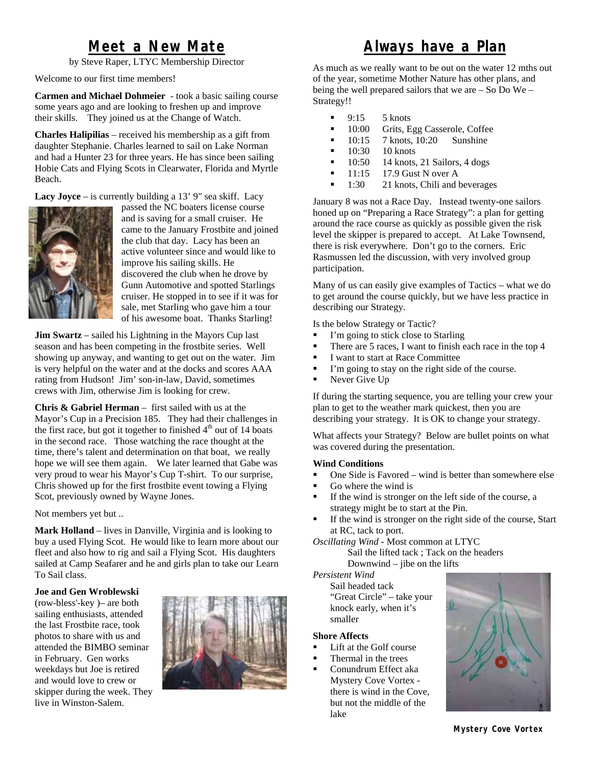#### **Meet a New Mate**

by Steve Raper, LTYC Membership Director

Welcome to our first time members!

**Carmen and Michael Dohmeier** - took a basic sailing course some years ago and are looking to freshen up and improve their skills. They joined us at the Change of Watch.

**Charles Halipilias** – received his membership as a gift from daughter Stephanie. Charles learned to sail on Lake Norman and had a Hunter 23 for three years. He has since been sailing Hobie Cats and Flying Scots in Clearwater, Florida and Myrtle Beach.

**Lacy Joyce** – is currently building a 13' 9" sea skiff. Lacy



passed the NC boaters license course and is saving for a small cruiser. He came to the January Frostbite and joined the club that day. Lacy has been an active volunteer since and would like to improve his sailing skills. He discovered the club when he drove by Gunn Automotive and spotted Starlings cruiser. He stopped in to see if it was for sale, met Starling who gave him a tour of his awesome boat. Thanks Starling!

**Jim Swartz** – sailed his Lightning in the Mayors Cup last season and has been competing in the frostbite series. Well showing up anyway, and wanting to get out on the water. Jim is very helpful on the water and at the docks and scores AAA rating from Hudson! Jim' son-in-law, David, sometimes crews with Jim, otherwise Jim is looking for crew.

**Chris & Gabriel Herman** – first sailed with us at the Mayor's Cup in a Precision 185. They had their challenges in the first race, but got it together to finished  $4<sup>th</sup>$  out of 14 boats in the second race. Those watching the race thought at the time, there's talent and determination on that boat, we really hope we will see them again. We later learned that Gabe was very proud to wear his Mayor's Cup T-shirt. To our surprise, Chris showed up for the first frostbite event towing a Flying Scot, previously owned by Wayne Jones.

Not members yet but ..

**Mark Holland** – lives in Danville, Virginia and is looking to buy a used Flying Scot. He would like to learn more about our fleet and also how to rig and sail a Flying Scot. His daughters sailed at Camp Seafarer and he and girls plan to take our Learn To Sail class.

#### **Joe and Gen Wroblewski**

(row-bless'-key )– are both sailing enthusiasts, attended the last Frostbite race, took photos to share with us and attended the BIMBO seminar in February. Gen works weekdays but Joe is retired and would love to crew or skipper during the week. They live in Winston-Salem.



#### **Always have a Plan**

As much as we really want to be out on the water 12 mths out of the year, sometime Mother Nature has other plans, and being the well prepared sailors that we are – So Do We – Strategy!!

- 9:15 5 knots
- <sup>10:00</sup> Grits, Egg Casserole, Coffee
- $\blacksquare$  10:15 7 knots, 10:20 Sunshine
- $10.30$  10 knots
- $\blacksquare$  10:50 14 knots, 21 Sailors, 4 dogs
- $\blacksquare$  11:15 17.9 Gust N over A
- $\blacksquare$  1:30 21 knots, Chili and beverages

January 8 was not a Race Day. Instead twenty-one sailors honed up on "Preparing a Race Strategy": a plan for getting around the race course as quickly as possible given the risk level the skipper is prepared to accept. At Lake Townsend, there is risk everywhere. Don't go to the corners. Eric Rasmussen led the discussion, with very involved group participation.

Many of us can easily give examples of Tactics – what we do to get around the course quickly, but we have less practice in describing our Strategy.

Is the below Strategy or Tactic?

- I'm going to stick close to Starling
- There are 5 races, I want to finish each race in the top 4
- I want to start at Race Committee
- I'm going to stay on the right side of the course.
- Never Give Up

If during the starting sequence, you are telling your crew your plan to get to the weather mark quickest, then you are describing your strategy. It is OK to change your strategy.

What affects your Strategy? Below are bullet points on what was covered during the presentation.

#### **Wind Conditions**

- $\blacksquare$  One Side is Favored wind is better than somewhere else
- Go where the wind is
- If the wind is stronger on the left side of the course, a strategy might be to start at the Pin.
- If the wind is stronger on the right side of the course, Start at RC, tack to port.

*Oscillating Wind -* Most common at LTYC Sail the lifted tack ; Tack on the headers Downwind – jibe on the lifts

*Persistent Wind* 

Sail headed tack "Great Circle" – take your knock early, when it's smaller

#### **Shore Affects**

- Lift at the Golf course
- Thermal in the trees
- Conundrum Effect aka Mystery Cove Vortex there is wind in the Cove, but not the middle of the lake

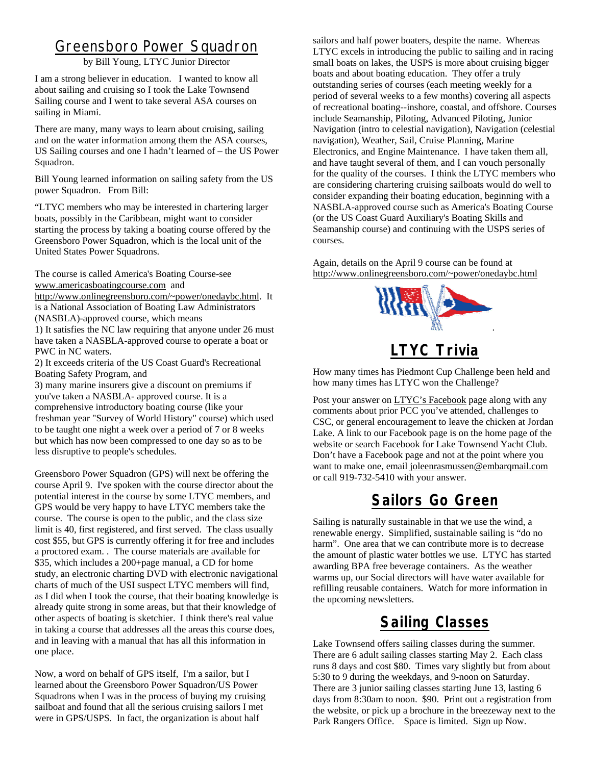#### Greensboro Power Squadron

by Bill Young, LTYC Junior Director

I am a strong believer in education. I wanted to know all about sailing and cruising so I took the Lake Townsend Sailing course and I went to take several ASA courses on sailing in Miami.

There are many, many ways to learn about cruising, sailing and on the water information among them the ASA courses, US Sailing courses and one I hadn't learned of – the US Power Squadron.

Bill Young learned information on sailing safety from the US power Squadron. From Bill:

"LTYC members who may be interested in chartering larger boats, possibly in the Caribbean, might want to consider starting the process by taking a boating course offered by the Greensboro Power Squadron, which is the local unit of the United States Power Squadrons.

The course is called America's Boating Course-see www.americasboatingcourse.com and

http://www.onlinegreensboro.com/~power/onedaybc.html. It is a National Association of Boating Law Administrators (NASBLA)-approved course, which means

1) It satisfies the NC law requiring that anyone under 26 must have taken a NASBLA-approved course to operate a boat or PWC in NC waters.

2) It exceeds criteria of the US Coast Guard's Recreational Boating Safety Program, and

3) many marine insurers give a discount on premiums if you've taken a NASBLA- approved course. It is a comprehensive introductory boating course (like your freshman year "Survey of World History" course) which used to be taught one night a week over a period of 7 or 8 weeks but which has now been compressed to one day so as to be less disruptive to people's schedules.

Greensboro Power Squadron (GPS) will next be offering the course April 9. I've spoken with the course director about the potential interest in the course by some LTYC members, and GPS would be very happy to have LTYC members take the course. The course is open to the public, and the class size limit is 40, first registered, and first served. The class usually cost \$55, but GPS is currently offering it for free and includes a proctored exam. . The course materials are available for \$35, which includes a 200+page manual, a CD for home study, an electronic charting DVD with electronic navigational charts of much of the USI suspect LTYC members will find, as I did when I took the course, that their boating knowledge is already quite strong in some areas, but that their knowledge of other aspects of boating is sketchier. I think there's real value in taking a course that addresses all the areas this course does, and in leaving with a manual that has all this information in one place.

Now, a word on behalf of GPS itself, I'm a sailor, but I learned about the Greensboro Power Squadron/US Power Squadrons when I was in the process of buying my cruising sailboat and found that all the serious cruising sailors I met were in GPS/USPS. In fact, the organization is about half

sailors and half power boaters, despite the name. Whereas LTYC excels in introducing the public to sailing and in racing small boats on lakes, the USPS is more about cruising bigger boats and about boating education. They offer a truly outstanding series of courses (each meeting weekly for a period of several weeks to a few months) covering all aspects of recreational boating--inshore, coastal, and offshore. Courses include Seamanship, Piloting, Advanced Piloting, Junior Navigation (intro to celestial navigation), Navigation (celestial navigation), Weather, Sail, Cruise Planning, Marine Electronics, and Engine Maintenance. I have taken them all, and have taught several of them, and I can vouch personally for the quality of the courses. I think the LTYC members who are considering chartering cruising sailboats would do well to consider expanding their boating education, beginning with a NASBLA-approved course such as America's Boating Course (or the US Coast Guard Auxiliary's Boating Skills and Seamanship course) and continuing with the USPS series of courses.

Again, details on the April 9 course can be found at http://www.onlinegreensboro.com/~power/onedaybc.html



### **LTYC Trivia**

How many times has Piedmont Cup Challenge been held and how many times has LTYC won the Challenge?

Post your answer on LTYC's Facebook page along with any comments about prior PCC you've attended, challenges to CSC, or general encouragement to leave the chicken at Jordan Lake. A link to our Facebook page is on the home page of the website or search Facebook for Lake Townsend Yacht Club. Don't have a Facebook page and not at the point where you want to make one, email joleenrasmussen@embarqmail.com or call 919-732-5410 with your answer.

#### **Sailors Go Green**

Sailing is naturally sustainable in that we use the wind, a renewable energy. Simplified, sustainable sailing is "do no harm". One area that we can contribute more is to decrease the amount of plastic water bottles we use. LTYC has started awarding BPA free beverage containers. As the weather warms up, our Social directors will have water available for refilling reusable containers. Watch for more information in the upcoming newsletters.

# **Sailing Classes**

Lake Townsend offers sailing classes during the summer. There are 6 adult sailing classes starting May 2. Each class runs 8 days and cost \$80. Times vary slightly but from about 5:30 to 9 during the weekdays, and 9-noon on Saturday. There are 3 junior sailing classes starting June 13, lasting 6 days from 8:30am to noon. \$90. Print out a registration from the website, or pick up a brochure in the breezeway next to the Park Rangers Office. Space is limited. Sign up Now.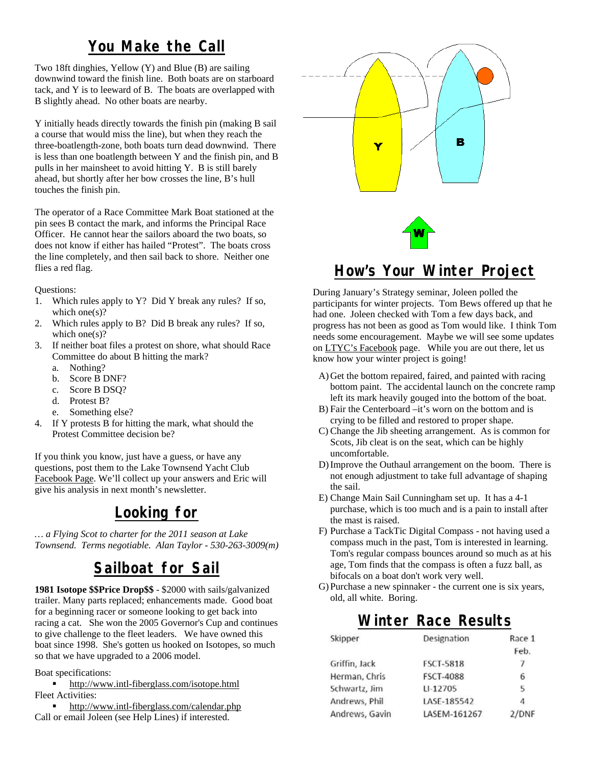#### **You Make the Call**

Two 18ft dinghies, Yellow (Y) and Blue (B) are sailing downwind toward the finish line. Both boats are on starboard tack, and Y is to leeward of B. The boats are overlapped with B slightly ahead. No other boats are nearby.

Y initially heads directly towards the finish pin (making B sail a course that would miss the line), but when they reach the three-boatlength-zone, both boats turn dead downwind. There is less than one boatlength between Y and the finish pin, and B pulls in her mainsheet to avoid hitting Y. B is still barely ahead, but shortly after her bow crosses the line, B's hull touches the finish pin.

The operator of a Race Committee Mark Boat stationed at the pin sees B contact the mark, and informs the Principal Race Officer. He cannot hear the sailors aboard the two boats, so does not know if either has hailed "Protest". The boats cross the line completely, and then sail back to shore. Neither one flies a red flag.

Questions:

- 1. Which rules apply to Y? Did Y break any rules? If so, which one(s)?
- 2. Which rules apply to B? Did B break any rules? If so, which one(s)?
- 3. If neither boat files a protest on shore, what should Race Committee do about B hitting the mark?
	- a. Nothing?
	- b. Score B DNF?
	- c. Score B DSQ?
	- d. Protest B?
	- e. Something else?
- 4. If Y protests B for hitting the mark, what should the Protest Committee decision be?

If you think you know, just have a guess, or have any questions, post them to the Lake Townsend Yacht Club Facebook Page. We'll collect up your answers and Eric will give his analysis in next month's newsletter.

### **Looking for**

*… a Flying Scot to charter for the 2011 season at Lake Townsend. Terms negotiable. Alan Taylor - 530-263-3009(m)* 

### **Sailboat for Sail**

**1981 Isotope \$\$Price Drop\$\$** - \$2000 with sails/galvanized trailer. Many parts replaced; enhancements made. Good boat for a beginning racer or someone looking to get back into racing a cat. She won the 2005 Governor's Cup and continues to give challenge to the fleet leaders. We have owned this boat since 1998. She's gotten us hooked on Isotopes, so much so that we have upgraded to a 2006 model.

Boat specifications:

 http://www.intl-fiberglass.com/isotope.html Fleet Activities:

**http://www.intl-fiberglass.com/calendar.php** Call or email Joleen (see Help Lines) if interested.



#### **How's Your Winter Project**

During January's Strategy seminar, Joleen polled the participants for winter projects. Tom Bews offered up that he had one. Joleen checked with Tom a few days back, and progress has not been as good as Tom would like. I think Tom needs some encouragement. Maybe we will see some updates on LTYC's Facebook page. While you are out there, let us know how your winter project is going!

- A)Get the bottom repaired, faired, and painted with racing bottom paint. The accidental launch on the concrete ramp left its mark heavily gouged into the bottom of the boat.
- B) Fair the Centerboard –it's worn on the bottom and is crying to be filled and restored to proper shape.
- C) Change the Jib sheeting arrangement. As is common for Scots, Jib cleat is on the seat, which can be highly uncomfortable.
- D)Improve the Outhaul arrangement on the boom. There is not enough adjustment to take full advantage of shaping the sail.
- E) Change Main Sail Cunningham set up. It has a 4-1 purchase, which is too much and is a pain to install after the mast is raised.
- F) Purchase a TackTic Digital Compass not having used a compass much in the past, Tom is interested in learning. Tom's regular compass bounces around so much as at his age, Tom finds that the compass is often a fuzz ball, as bifocals on a boat don't work very well.
- G) Purchase a new spinnaker the current one is six years, old, all white. Boring.

#### **Winter Race Results**

| Skipper        | Designation      | Race 1 |
|----------------|------------------|--------|
|                |                  | Feb.   |
| Griffin, Jack  | <b>FSCT-5818</b> | 7      |
| Herman, Chris  | <b>FSCT-4088</b> | 6      |
| Schwartz, Jim  | LI-12705         | 5      |
| Andrews, Phil  | LASE-185542      | 4      |
| Andrews, Gavin | LASEM-161267     | 2/DNF  |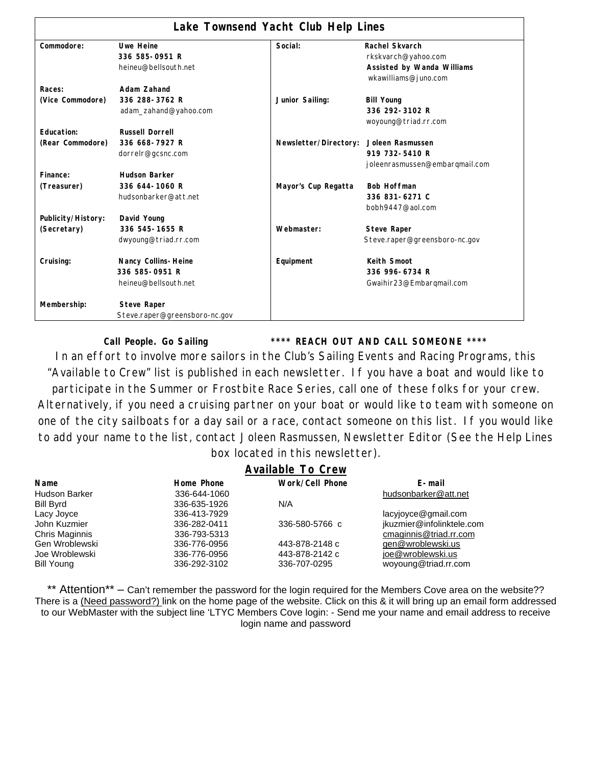| Lake Townsend Yacht Club Help Lines |                               |                       |                                                    |  |  |
|-------------------------------------|-------------------------------|-----------------------|----------------------------------------------------|--|--|
| Commodore:                          | <b>Uwe Heine</b>              | Social:               | Rachel Skvarch                                     |  |  |
|                                     | 336 585-0951 R                |                       | rkskvarch@yahoo.com                                |  |  |
|                                     | heineu@bellsouth.net          |                       | Assisted by Wanda Williams<br>wkawilliams@juno.com |  |  |
| Races:                              | Adam Zahand                   |                       |                                                    |  |  |
| (Vice Commodore)                    | 336 288-3762 R                | Junior Sailing:       | <b>Bill Young</b>                                  |  |  |
|                                     | adam_zahand@yahoo.com         |                       | 336 292-3102 R                                     |  |  |
|                                     |                               |                       | woyoung@triad.rr.com                               |  |  |
| Education:                          | <b>Russell Dorrell</b>        |                       |                                                    |  |  |
| (Rear Commodore)                    | 336 668-7927 R                | Newsletter/Directory: | Joleen Rasmussen                                   |  |  |
|                                     | dorrelr@gcsnc.com             |                       | 919 732-5410 R                                     |  |  |
|                                     |                               |                       | joleenrasmussen@embarqmail.com                     |  |  |
| Finance:                            | <b>Hudson Barker</b>          |                       |                                                    |  |  |
| (Treasurer)                         | 336 644-1060 R                | Mayor's Cup Regatta   | <b>Bob Hoffman</b>                                 |  |  |
|                                     | hudsonbarker@att.net          |                       | 336 831-6271 C                                     |  |  |
|                                     |                               |                       | bobh9447@aol.com                                   |  |  |
| Publicity/History:                  | David Young                   |                       |                                                    |  |  |
| (Secretary)                         | 336 545-1655 R                | Webmaster:            | <b>Steve Raper</b>                                 |  |  |
|                                     | dwyoung@triad.rr.com          |                       | Steve.raper@greensboro-nc.gov                      |  |  |
| Cruising:                           | Nancy Collins-Heine           | Equipment             | Keith Smoot                                        |  |  |
|                                     | 336 585-0951 R                |                       | 336 996-6734 R                                     |  |  |
|                                     | heineu@bellsouth.net          |                       | Gwaihir23@Embarqmail.com                           |  |  |
| Membership:                         | <b>Steve Raper</b>            |                       |                                                    |  |  |
|                                     | Steve.raper@greensboro-nc.gov |                       |                                                    |  |  |

**Call People. Go Sailing \*\*\*\* REACH OUT AND CALL SOMEONE \*\*\*\*** 

In an effort to involve more sailors in the Club's Sailing Events and Racing Programs, this "Available to Crew" list is published in each newsletter. If you have a boat and would like to participate in the Summer or Frostbite Race Series, call one of these folks for your crew. Alternatively, if you need a cruising partner on your boat or would like to team with someone on one of the city sailboats for a day sail or a race, contact someone on this list. If you would like to add your name to the list, contact Joleen Rasmussen, Newsletter Editor (See the Help Lines box located in this newsletter).

|                      | <b>Available To Crew</b> |                        |                           |
|----------------------|--------------------------|------------------------|---------------------------|
| <b>Name</b>          | Home Phone               | <b>Work/Cell Phone</b> | E-mail                    |
| <b>Hudson Barker</b> | 336-644-1060             |                        | hudsonbarker@att.net      |
| <b>Bill Byrd</b>     | 336-635-1926             | N/A                    |                           |
| Lacy Joyce           | 336-413-7929             |                        | lacyjoyce@gmail.com       |
| John Kuzmier         | 336-282-0411             | 336-580-5766 c         | jkuzmier@infolinktele.com |
| Chris Maginnis       | 336-793-5313             |                        | cmaginnis@triad.rr.com    |
| Gen Wroblewski       | 336-776-0956             | 443-878-2148 c         | gen@wroblewski.us         |
| Joe Wroblewski       | 336-776-0956             | 443-878-2142 c         | joe@wroblewski.us         |
| <b>Bill Young</b>    | 336-292-3102             | 336-707-0295           | woyoung@triad.rr.com      |

\*\* Attention\*\* – Can't remember the password for the login required for the Members Cove area on the website?? There is a (Need password?) link on the home page of the website. Click on this & it will bring up an email form addressed to our WebMaster with the subject line 'LTYC Members Cove login: - Send me your name and email address to receive login name and password